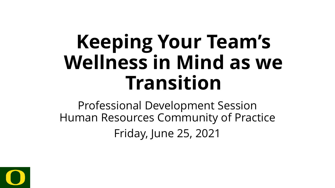# **Keeping Your Team's Wellness in Mind as we Transition**

Professional Development Session Human Resources Community of Practice Friday, June 25, 2021

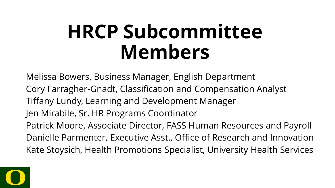# **HRCP Subcommittee Members**

Melissa Bowers, Business Manager, English Department Cory Farragher-Gnadt, Classification and Compensation Analyst Tiffany Lundy, Learning and Development Manager Jen Mirabile, Sr. HR Programs Coordinator Patrick Moore, Associate Director, FASS Human Resources and Payroll Danielle Parmenter, Executive Asst., Office of Research and Innovation Kate Stoysich, Health Promotions Specialist, University Health Services

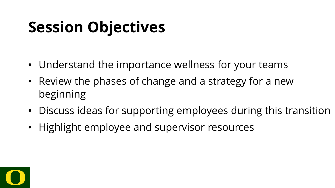# **Session Objectives**

- Understand the importance wellness for your teams
- Review the phases of change and a strategy for a new beginning
- Discuss ideas for supporting employees during this transition
- Highlight employee and supervisor resources

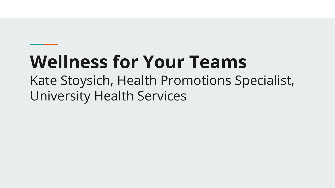# **Wellness for Your Teams**

Kate Stoysich, Health Promotions Specialist, University Health Services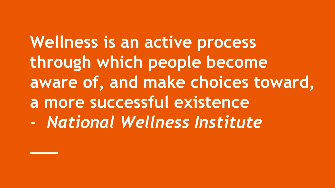**Wellness is an active process through which people become aware of, and make choices toward, a more successful existence**  - *National Wellness Institute*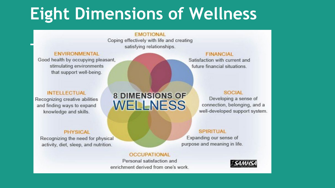# **Eight Dimensions of Wellness**

#### **FMOTIONAL**

Coping effectively with life and creating satisfying relationships.

#### **FNVIRONMENTAL**

Good health by occupying pleasant, stimulating environments that support well-being.

#### **INTELLECTUAL**

Recognizing creative abilities and finding ways to expand knowledge and skills.

### **8 DIMENSIONS OF WELLNESS**

#### **PHYSICAL**

Recognizing the need for physical activity, diet, sleep, and nutrition.

#### **OCCUPATIONAL**

Personal satisfaction and enrichment derived from one's work.

### **FINANCIAL**

Satisfaction with current and future financial situations.

#### **SOCIAL**

Developing a sense of connection, belonging, and a well-developed support system.

#### **SPIRITUAL**

Expanding our sense of purpose and meaning in life.

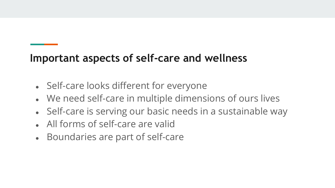### **Important aspects of self-care and wellness**

- Self-care looks different for everyone
- We need self-care in multiple dimensions of ours lives
- Self-care is serving our basic needs in a sustainable way
- All forms of self-care are valid
- Boundaries are part of self-care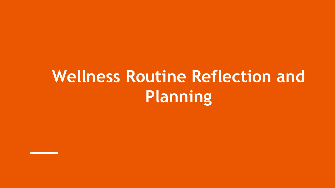# **Wellness Routine Reflection and Planning**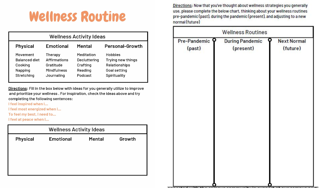## **Wellness Routine**

|                                                                      |                                                                          | <b>Wellness Activity Ideas</b>                               |                                                                               |
|----------------------------------------------------------------------|--------------------------------------------------------------------------|--------------------------------------------------------------|-------------------------------------------------------------------------------|
| <b>Physical</b>                                                      | <b>Emotional</b>                                                         | Mental                                                       | <b>Personal-Growth</b>                                                        |
| Movement<br><b>Balanced diet</b><br>Cooking<br>Napping<br>Stretching | Therapy<br><b>Affirmations</b><br>Gratitude<br>Mindfulness<br>Journaling | Meditation<br>Decluttering<br>Crafting<br>Reading<br>Podcast | Hobbies<br>Trying new things<br>Relationships<br>Goal setting<br>Spirituality |

Directions: Fill in the box below with ideas for you generally utilize to improve and prioritize your wellness. For inspiration, check the ideas above and try completing the following sentences:

I feel inspired when I...

I feel most energized when I...

To feel my best, I need to...

I feel at peace when I...

|                 | <b>Wellness Activity Ideas</b> |               |        |
|-----------------|--------------------------------|---------------|--------|
| <b>Physical</b> | <b>Emotional</b>               | <b>Mental</b> | Growth |
|                 |                                |               |        |
|                 |                                |               |        |
|                 |                                |               |        |
|                 |                                |               |        |

Directions: Now that you've thought about wellness strategies you generally use, please complete the below chart, thinking about your wellness routines pre-pandemic (past), during the pandemic (present), and adjusting to a new normal (future)

| <b>Wellness Routines</b> |                                     |  |                                |  |  |
|--------------------------|-------------------------------------|--|--------------------------------|--|--|
| Pre-Pandemic 9<br>(past) | <b>During Pandemic</b><br>(present) |  | <b>Next Normal</b><br>(future) |  |  |
|                          |                                     |  |                                |  |  |
|                          |                                     |  |                                |  |  |
|                          |                                     |  |                                |  |  |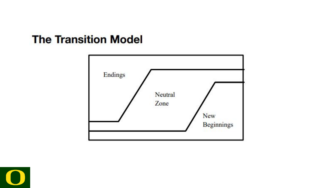### **The Transition Model**



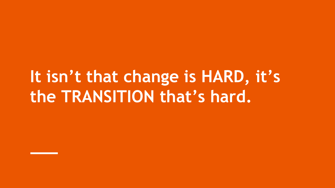# **It isn't that change is HARD, it's the TRANSITION that's hard.**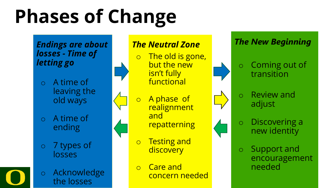# **Phases of Change**

*Endings are about losses - Time of letting go*

o A time of leaving the old ways

o A time of ending

o 7 types of losses

o Acknowledge the losses



o Care and concern needed

## *The New Beginning* o Coming out of transition o Review and adjust o Discovering a new identity

o Support and encouragement needed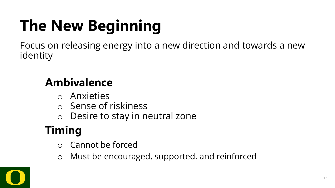# **The New Beginning**

Focus on releasing energy into a new direction and towards a new identity

### **Ambivalence**

- o Anxieties
- o Sense of riskiness
- o Desire to stay in neutral zone

## **Timing**

- Cannot be forced
- o Must be encouraged, supported, and reinforced

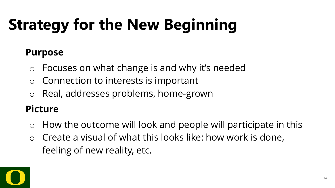# **Strategy for the New Beginning**

### **Purpose**

- o Focuses on what change is and why it's needed
- $\circ$  Connection to interests is important
- Real, addresses problems, home-grown

### **Picture**

- $\circ$  How the outcome will look and people will participate in this
- Create a visual of what this looks like: how work is done, feeling of new reality, etc.

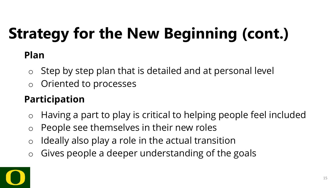# **Strategy for the New Beginning (cont.)**

### **Plan**

- $\circ$  Step by step plan that is detailed and at personal level
- o Oriented to processes

### **Participation**

- o Having a part to play is critical to helping people feel included
- o People see themselves in their new roles
- $\circ$  Ideally also play a role in the actual transition
- $\circ$  Gives people a deeper understanding of the goals

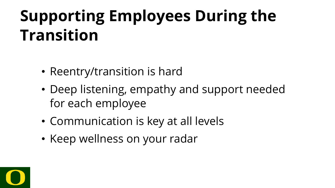# **Supporting Employees During the Transition**

- Reentry/transition is hard
- Deep listening, empathy and support needed for each employee
- Communication is key at all levels
- Keep wellness on your radar

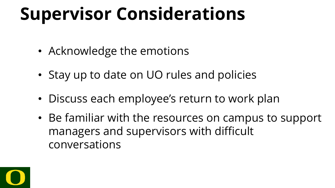# **Supervisor Considerations**

- Acknowledge the emotions
- Stay up to date on UO rules and policies
- Discuss each employee's return to work plan
- Be familiar with the resources on campus to support managers and supervisors with difficult conversations

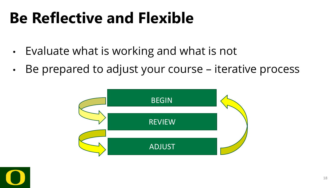# **Be Reflective and Flexible**

- Evaluate what is working and what is not
- Be prepared to adjust your course iterative process

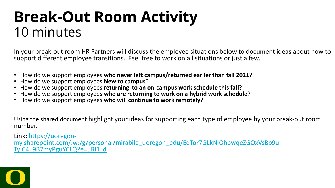## **Break-Out Room Activity**  10 minutes

In your break-out room HR Partners will discuss the employee situations below to document ideas about how to support different employee transitions. Feel free to work on all situations or just a few.

- 
- 
- 
- How do we support employees who never left campus/returned earlier than fall 2021?<br>• How do we support employees New to campus?<br>• How do we support employees returning to an on-campus work schedule this fall?<br>• How do we
- 

Using the shared document highlight your ideas for supporting each type of employee by your break-out room number.

Link: https://uoregon-<br>[my.sharepoint.com/:w:/g/personal/mirabile\\_uoregon\\_edu/EdTor7GLkNlOhpwqeZGOxVsBb9u-](https://uoregon-my.sharepoint.com/:w:/g/personal/mirabile_uoregon_edu/EdTor7GLkNlOhpwqeZGOxVsBb9u-TyjC4_9B7myPguYCLQ?e=uRI1Ld)<br>TyjC4\_9B7myPguYCLQ?e=uRI1Ld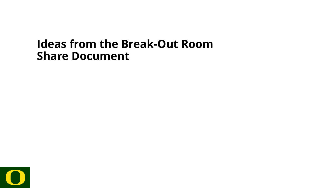### **Ideas from the Break-Out Room Share Document**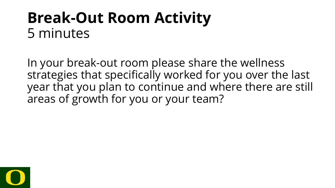## **Break-Out Room Activity** 5 minutes

In your break-out room please share the wellness strategies that specifically worked for you over the last year that you plan to continue and where there are still areas of growth for you or your team?

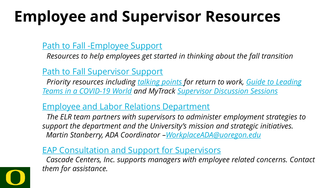# **Employee and Supervisor Resources**

### [Path to Fall -Employee Support](https://hr.uoregon.edu/programs-services/covid-19-resources/path-fall-employee-support)

*Resources to help employees get started in thinking about the fall transition* 

### [Path to Fall Supervisor Support](https://hr.uoregon.edu/programs-services/covid-19-resources/resources-supervisors-hr-partners/path-fall-supervisor-support)

*[Priority resources including t](https://hr.uoregon.edu/path-fall-leading-teams-covid-19-world)[alking points](https://hr.uoregon.edu/employee-labor-relations/policies-guidance-reporting/path-fall-hr-guidance-units/path-fall-notifying) [for return to work, Guide to Leading](https://hr.uoregon.edu/path-fall-leading-teams-covid-19-world)  Teams in a COVID-19 World and MyTrack [Supervisor Discussion Sessions](https://uomytrack.pageuppeople.com/learning/3207)*

### [Employee and Labor Relations Department](https://hr.uoregon.edu/er)

*The ELR team partners with supervisors to administer employment strategies to support the department and the University's mission and strategic initiatives. Martin Stanberry, ADA Coordinator [–WorkplaceADA@uoregon.edu](mailto:mailtomailtoWorkplaceADA@uoregon.edu)*

### [EAP Consultation and Support for Supervisors](https://cascadecenters.com/Organization-Resources)

*Cascade Centers, Inc. supports managers with employee related concerns. Contact them for assistance.*

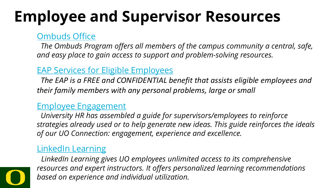# **Employee and Supervisor Resources**

### [Ombuds Office](https://ombuds.uoregon.edu/)

*The Ombuds Program offers all members of the campus community a central, safe, and easy place to gain access to support and problem-solving resources.*

### [EAP Services for Eligible Employees](https://cascadecenters.com/Services-Offered)

*The EAP is a FREE and CONFIDENTIAL benefit that assists eligible employees and their family members with any personal problems, large or small*

### [Employee Engagement](https://hr.uoregon.edu/programs-services/covid-19-resources/covid-19-guide-employee-engagement)

*University HR has assembled a guide for supervisors/employees to reinforce strategies already used or to help generate new ideas. This guide reinforces the ideals of our UO Connection: engagement, experience and excellence.*

### [LinkedIn Learning](https://hr.uoregon.edu/learning-development/linkedin-learning)

*LinkedIn Learning gives UO employees unlimited access to its comprehensive resources and expert instructors. It offers personalized learning recommendations based on experience and individual utilization.*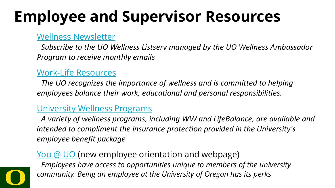# **Employee and Supervisor Resources**

#### [Wellness Newsletter](https://lists.uoregon.edu/mailman/listinfo/uowellness)

*Subscribe to the UO Wellness Listserv managed by the UO Wellness Ambassador Program to receive monthly emails*

#### [Work-Life Resources](https://hr.uoregon.edu/programs-services/work-life-resources)

*The UO recognizes the importance of wellness and is committed to helping employees balance their work, educational and personal responsibilities.* 

### [University Wellness Programs](https://hr.uoregon.edu/benefits/wellness-programs)

*A variety of wellness programs, including WW and LifeBalance, are available and intended to compliment the insurance protection provided in the University's employee benefit package*

### [You @ UO](https://hr.uoregon.edu/programs-services/work-life-resources/you-uo) (new employee orientation and webpage)

*Employees have access to opportunities unique to members of the university community. Being an employee at the University of Oregon has its perks*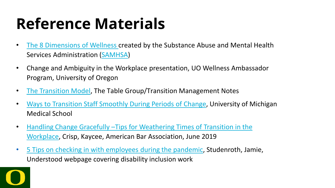# **Reference Materials**

- [The 8 Dimensions of Wellness c](http://workplacewellnesslab.com/the-8-dimensions-of-wellness/)reated by the Substance Abuse and Mental Health Services Administration [\(SAMHSA\)](https://www.samhsa.gov/)
- Change and Ambiguity in the Workplace presentation, UO Wellness Ambassador Program, University of Oregon
- [The Transition Model,](https://de7pikzj4hvyk.cloudfront.net/wp-content/uploads/2021/05/04155840/Transition-Management.pdf) The Table Group/Transition Management Notes
- [Ways to Transition Staff Smoothly During Periods of Change](https://faculty.medicine.umich.edu/ways-transition-staff-smoothly-during-periods-change), University of Michigan Medical School
- [Handling Change Gracefully –Tips for Weathering Times of Transition in the](https://www.americanbar.org/careercenter/blog/tips-to-weather-times-of-workplace-transition/)  Workplace, Crisp, Kaycee, American Bar Association, June 2019
- [5 Tips on checking in with employees during the pandemic](https://www.understood.org/en/workplace/coronavirus-resources/how-to-check-on-employees-coronavirus), Studenroth, Jamie, Understood webpage covering disability inclusion work